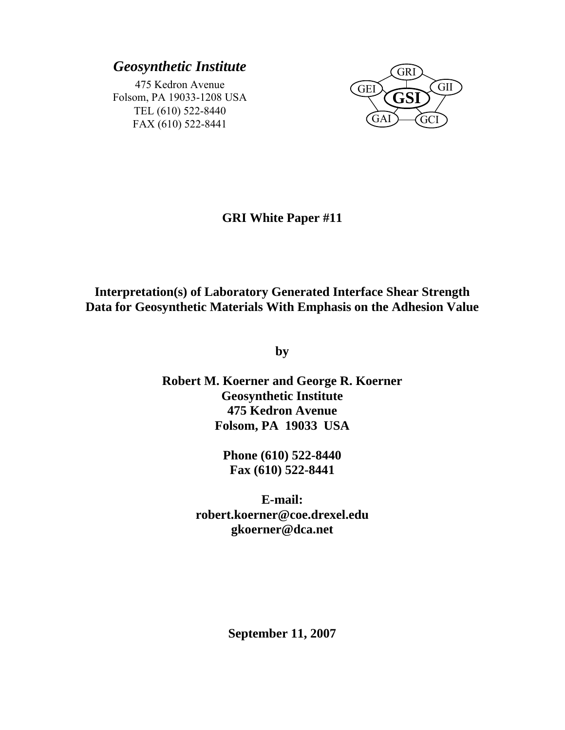## *Geosynthetic Institute*

475 Kedron Avenue Folsom, PA 19033-1208 USA TEL (610) 522-8440 FAX (610) 522-8441



## **GRI White Paper #11**

# **Interpretation(s) of Laboratory Generated Interface Shear Strength Data for Geosynthetic Materials With Emphasis on the Adhesion Value**

**by** 

**Robert M. Koerner and George R. Koerner Geosynthetic Institute 475 Kedron Avenue Folsom, PA 19033 USA** 

> **Phone (610) 522-8440 Fax (610) 522-8441**

**E-mail: robert.koerner@coe.drexel.edu gkoerner@dca.net** 

**September 11, 2007**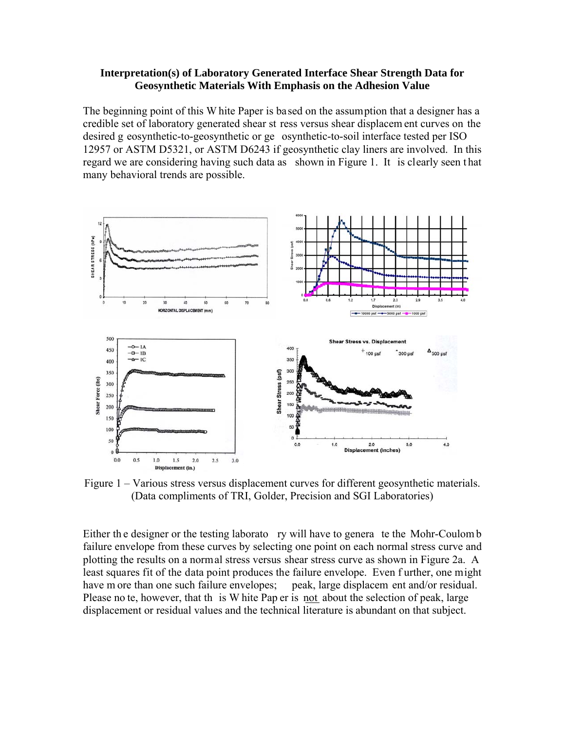#### **Interpretation(s) of Laboratory Generated Interface Shear Strength Data for Geosynthetic Materials With Emphasis on the Adhesion Value**

The beginning point of this W hite Paper is based on the assumption that a designer has a credible set of laboratory generated shear st ress versus shear displacem ent curves on the desired g eosynthetic-to-geosynthetic or ge osynthetic-to-soil interface tested per ISO 12957 or ASTM D5321, or ASTM D6243 if geosynthetic clay liners are involved. In this regard we are considering having such data as shown in Figure 1. It is clearly seen t hat many behavioral trends are possible.



Figure 1 – Various stress versus displacement curves for different geosynthetic materials. (Data compliments of TRI, Golder, Precision and SGI Laboratories)

Either the designer or the testing laborato ry will have to genera te the Mohr-Coulom b failure envelope from these curves by selecting one point on each normal stress curve and plotting the results on a normal stress versus shear stress curve as shown in Figure 2a. A least squares fit of the data point produces the failure envelope. Even f urther, one might have m ore than one such failure envelopes; peak, large displacem ent and/or residual. Please no te, however, that th is W hite Pap er is not about the selection of peak, large displacement or residual values and the technical literature is abundant on that subject.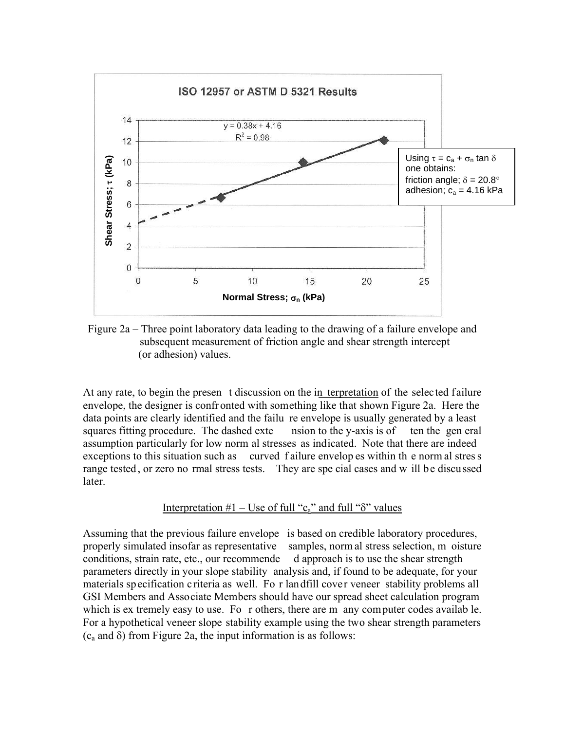

Figure 2a – Three point laboratory data leading to the drawing of a failure envelope and subsequent measurement of friction angle and shear strength intercept (or adhesion) values.

At any rate, to begin the presen t discussion on the in terpretation of the selected failure envelope, the designer is confr onted with something like that shown Figure 2a. Here the data points are clearly identified and the failu re envelope is usually generated by a least squares fitting procedure. The dashed exte nsion to the y-axis is of ten the gen eral assumption particularly for low norm al stresses as indicated. Note that there are indeed exceptions to this situation such as curved f ailure envelopes within the norm al stres s range tested, or zero no rmal stress tests. They are spe cial cases and w ill be discussed later.

#### Interpretation  $#1$  – Use of full "c<sub>a</sub>" and full " $\delta$ " values

Assuming that the previous failure envelope is based on credible laboratory procedures, properly simulated insofar as representative samples, norm al stress selection, m oisture conditions, strain rate, etc., our recommende d approach is to use the shear strength parameters directly in your slope stability analysis and, if found to be adequate, for your materials specification criteria as well. Fo r landfill cover veneer stability problems all GSI Members and Associate Members should have our spread sheet calculation program which is ex tremely easy to use. Fo r others, there are m any computer codes availab le. For a hypothetical veneer slope stability example using the two shear strength parameters  $(c_a$  and  $\delta)$  from Figure 2a, the input information is as follows: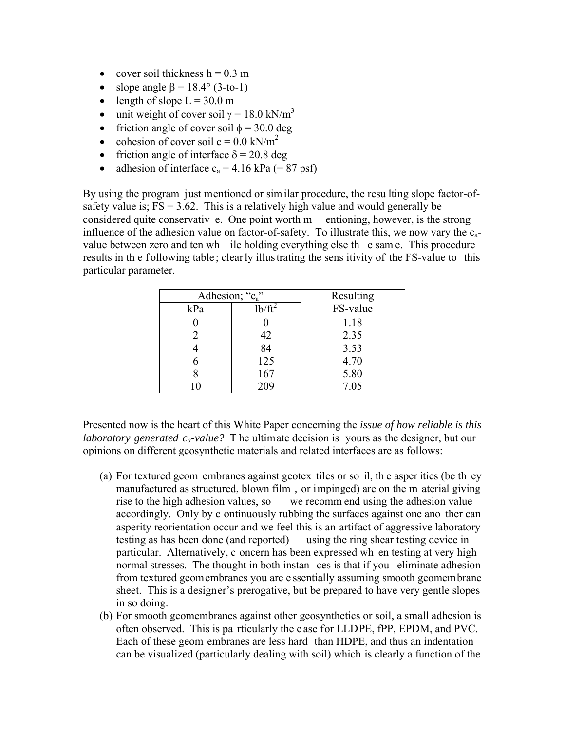- cover soil thickness  $h = 0.3$  m
- slope angle  $\beta = 18.4^{\circ}$  (3-to-1)
- length of slope  $L = 30.0$  m
- unit weight of cover soil  $\gamma = 18.0 \text{ kN/m}^3$
- friction angle of cover soil  $\phi = 30.0$  deg
- cohesion of cover soil  $c = 0.0$  kN/m<sup>2</sup>
- friction angle of interface  $\delta = 20.8$  deg
- adhesion of interface  $c_a = 4.16$  kPa (= 87 psf)

By using the program just mentioned or similar procedure, the resu lting slope factor-ofsafety value is;  $FS = 3.62$ . This is a relatively high value and would generally be considered quite conservativ e. One point worth m entioning, however, is the strong influence of the adhesion value on factor-of-safety. To illustrate this, we now vary the  $c_{a}$ value between zero and ten wh ile holding everything else th e sam e. This procedure results in the following table; clearly illus trating the sens itivity of the FS-value to this particular parameter.

| Adhesion; "c <sub>a</sub> " |           | Resulting |
|-----------------------------|-----------|-----------|
| kPa                         | $1b/ft^2$ | FS-value  |
|                             |           | 1.18      |
|                             | 42        | 2.35      |
|                             | 84        | 3.53      |
|                             | 125       | 4.70      |
|                             | 167       | 5.80      |
|                             | 209       | 7.05      |

Presented now is the heart of this White Paper concerning the *issue of how reliable is this laboratory generated ca-value?* T he ultimate decision is yours as the designer, but our opinions on different geosynthetic materials and related interfaces are as follows:

- (a) For textured geom embranes against geotex tiles or so il, th e asper ities (be th ey manufactured as structured, blown film , or impinged) are on the m aterial giving rise to the high adhesion values, so we recomm end using the adhesion value accordingly. Only by c ontinuously rubbing the surfaces against one ano ther can asperity reorientation occur and we feel this is an artifact of aggressive laboratory testing as has been done (and reported) using the ring shear testing device in particular. Alternatively, c oncern has been expressed wh en testing at very high normal stresses. The thought in both instan ces is that if you eliminate adhesion from textured geomembranes you are e ssentially assuming smooth geomembrane sheet. This is a designer's prerogative, but be prepared to have very gentle slopes in so doing.
- (b) For smooth geomembranes against other geosynthetics or soil, a small adhesion is often observed. This is pa rticularly the c ase for LLDPE, fPP, EPDM, and PVC. Each of these geom embranes are less hard than HDPE, and thus an indentation can be visualized (particularly dealing with soil) which is clearly a function of the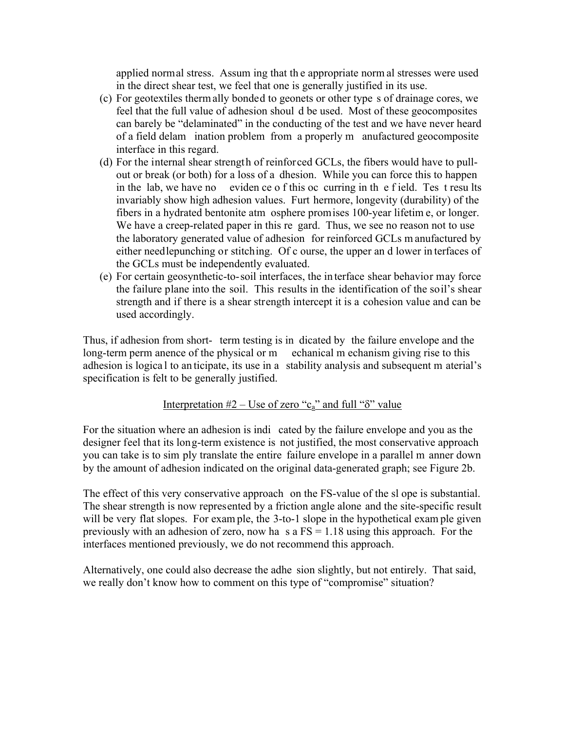applied normal stress. Assum ing that th e appropriate norm al stresses were used in the direct shear test, we feel that one is generally justified in its use.

- (c) For geotextiles therm ally bonded to geonets or other type s of drainage cores, we feel that the full value of adhesion shoul d be used. Most of these geocomposites can barely be "delaminated" in the conducting of the test and we have never heard of a field delam ination problem from a properly m anufactured geocomposite interface in this regard.
- (d) For the internal shear strength of reinforced GCLs, the fibers would have to pullout or break (or both) for a loss of a dhesion. While you can force this to happen in the lab, we have no eviden ce o f this oc curring in the f ield. Tes t results invariably show high adhesion values. Furt hermore, longevity (durability) of the fibers in a hydrated bentonite atm osphere promises 100-year lifetim e, or longer. We have a creep-related paper in this re gard. Thus, we see no reason not to use the laboratory generated value of adhesion for reinforced GCLs m anufactured by either needlepunching or stitching. Of c ourse, the upper an d lower in terfaces of the GCLs must be independently evaluated.
- (e) For certain geosynthetic-to-soil interfaces, the in terface shear behavior may force the failure plane into the soil. This results in the identification of the soil's shear strength and if there is a shear strength intercept it is a cohesion value and can be used accordingly.

Thus, if adhesion from short- term testing is in dicated by the failure envelope and the long-term perm anence of the physical or m echanical m echanism giving rise to this adhesion is logica l to an ticipate, its use in a stability analysis and subsequent m aterial's specification is felt to be generally justified.

### Interpretation  $#2$  – Use of zero "c<sub>a</sub>" and full " $\delta$ " value

For the situation where an adhesion is indi cated by the failure envelope and you as the designer feel that its long-term existence is not justified, the most conservative approach you can take is to sim ply translate the entire failure envelope in a parallel m anner down by the amount of adhesion indicated on the original data-generated graph; see Figure 2b.

The effect of this very conservative approach on the FS-value of the sl ope is substantial. The shear strength is now represented by a friction angle alone and the site-specific result will be very flat slopes. For example, the 3-to-1 slope in the hypothetical example given previously with an adhesion of zero, now ha s a  $FS = 1.18$  using this approach. For the interfaces mentioned previously, we do not recommend this approach.

Alternatively, one could also decrease the adhe sion slightly, but not entirely. That said, we really don't know how to comment on this type of "compromise" situation?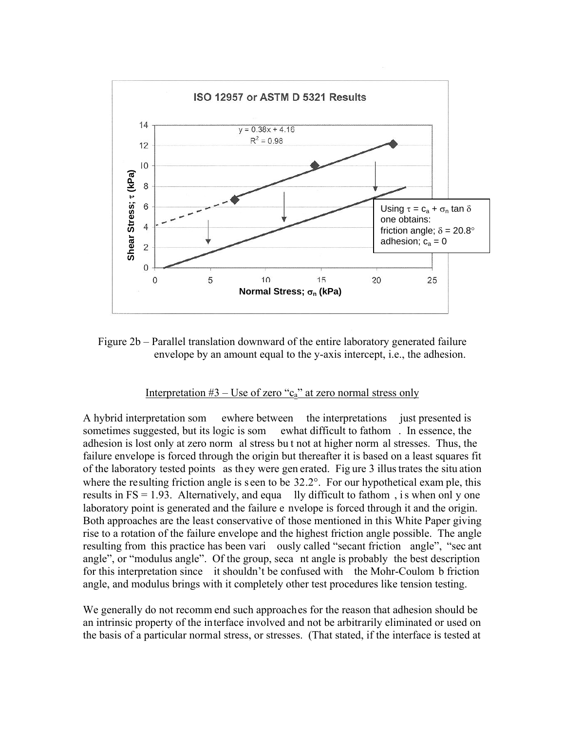

Figure 2b – Parallel translation downward of the entire laboratory generated failure envelope by an amount equal to the y-axis intercept, i.e., the adhesion.

### Interpretation  $#3 - Use$  of zero "c<sub>a</sub>" at zero normal stress only

A hybrid interpretation som ewhere between the interpretations just presented is sometimes suggested, but its logic is som ewhat difficult to fathom . In essence, the adhesion is lost only at zero norm al stress bu t not at higher norm al stresses. Thus, the failure envelope is forced through the origin but thereafter it is based on a least squares fit of the laboratory tested points as they were gen erated. Fig ure 3 illus trates the situ ation where the resulting friction angle is seen to be 32.2°. For our hypothetical exam ple, this results in  $FS = 1.93$ . Alternatively, and equa lly difficult to fathom, is when onl y one laboratory point is generated and the failure e nvelope is forced through it and the origin. Both approaches are the least conservative of those mentioned in this White Paper giving rise to a rotation of the failure envelope and the highest friction angle possible. The angle resulting from this practice has been vari ously called "secant friction angle", "sec ant angle", or "modulus angle". Of the group, seca nt angle is probably the best description for this interpretation since it shouldn't be confused with the Mohr-Coulom b friction angle, and modulus brings with it completely other test procedures like tension testing.

We generally do not recomm end such approaches for the reason that adhesion should be an intrinsic property of the interface involved and not be arbitrarily eliminated or used on the basis of a particular normal stress, or stresses. (That stated, if the interface is tested at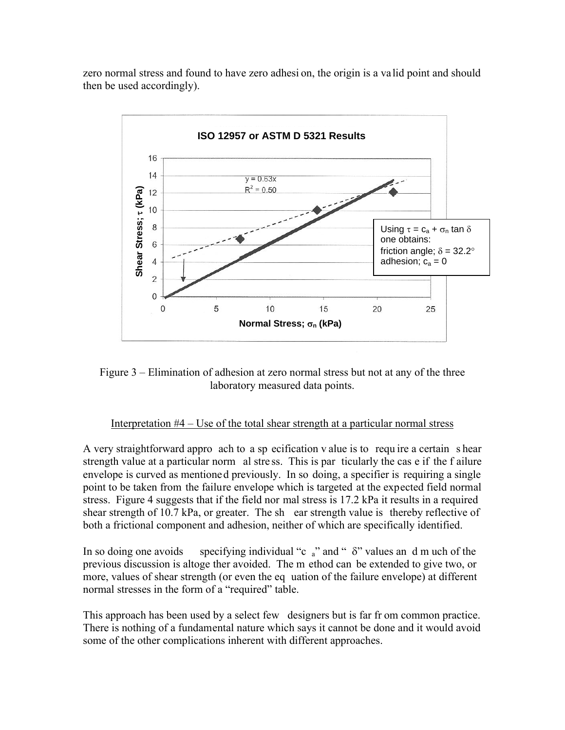zero normal stress and found to have zero adhesi on, the origin is a va lid point and should then be used accordingly).



Figure 3 – Elimination of adhesion at zero normal stress but not at any of the three laboratory measured data points.

#### Interpretation #4 – Use of the total shear strength at a particular normal stress

A very straightforward appro ach to a sp ecification v alue is to requ ire a certain s hear strength value at a particular norm al stre ss. This is par ticularly the cas e if the f ailure envelope is curved as mentioned previously. In so doing, a specifier is requiring a single point to be taken from the failure envelope which is targeted at the expected field normal stress. Figure 4 suggests that if the field nor mal stress is 17.2 kPa it results in a required shear strength of 10.7 kPa, or greater. The sh ear strength value is thereby reflective of both a frictional component and adhesion, neither of which are specifically identified.

In so doing one avoids specifying individual "c  $a$ " and "  $\delta$ " values an d m uch of the previous discussion is altoge ther avoided. The m ethod can be extended to give two, or more, values of shear strength (or even the eq uation of the failure envelope) at different normal stresses in the form of a "required" table.

This approach has been used by a select few designers but is far fr om common practice. There is nothing of a fundamental nature which says it cannot be done and it would avoid some of the other complications inherent with different approaches.